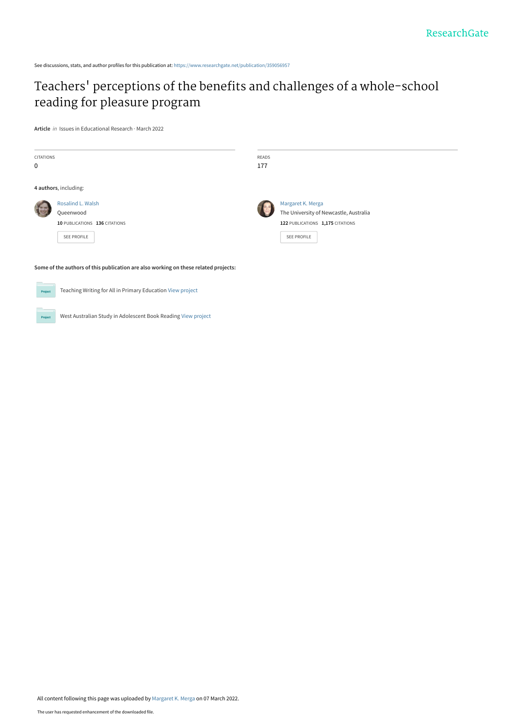See discussions, stats, and author profiles for this publication at: [https://www.researchgate.net/publication/359056957](https://www.researchgate.net/publication/359056957_Teachers%27_perceptions_of_the_benefits_and_challenges_of_a_whole-school_reading_for_pleasure_program?enrichId=rgreq-aa78cbdad404ffcf2fcbe3796032357c-XXX&enrichSource=Y292ZXJQYWdlOzM1OTA1Njk1NztBUzoxMTMwOTQ0ODM2NzA2MzA3QDE2NDY2NDk2Njk3MTQ%3D&el=1_x_2&_esc=publicationCoverPdf)

# Teachers[' perceptions of the benefits and challenges of a whole-school](https://www.researchgate.net/publication/359056957_Teachers%27_perceptions_of_the_benefits_and_challenges_of_a_whole-school_reading_for_pleasure_program?enrichId=rgreq-aa78cbdad404ffcf2fcbe3796032357c-XXX&enrichSource=Y292ZXJQYWdlOzM1OTA1Njk1NztBUzoxMTMwOTQ0ODM2NzA2MzA3QDE2NDY2NDk2Njk3MTQ%3D&el=1_x_3&_esc=publicationCoverPdf) reading for pleasure program

**Article** in Issues in Educational Research · March 2022

| <b>CITATIONS</b><br>$\mathbf 0$                                                     |                                                                                       | READS<br>177 |                                                                                                                |
|-------------------------------------------------------------------------------------|---------------------------------------------------------------------------------------|--------------|----------------------------------------------------------------------------------------------------------------|
| 4 authors, including:                                                               |                                                                                       |              |                                                                                                                |
|                                                                                     | Rosalind L. Walsh<br>Queenwood<br>10 PUBLICATIONS 136 CITATIONS<br><b>SEE PROFILE</b> |              | Margaret K. Merga<br>The University of Newcastle, Australia<br>122 PUBLICATIONS 1,175 CITATIONS<br>SEE PROFILE |
| Some of the authors of this publication are also working on these related projects: |                                                                                       |              |                                                                                                                |
| Teaching Writing for All in Primary Education View project<br>Project               |                                                                                       |              |                                                                                                                |

West Australian Study in Adolescent Book Reading [View project](https://www.researchgate.net/project/West-Australian-Study-in-Adolescent-Book-Reading?enrichId=rgreq-aa78cbdad404ffcf2fcbe3796032357c-XXX&enrichSource=Y292ZXJQYWdlOzM1OTA1Njk1NztBUzoxMTMwOTQ0ODM2NzA2MzA3QDE2NDY2NDk2Njk3MTQ%3D&el=1_x_9&_esc=publicationCoverPdf) **Project**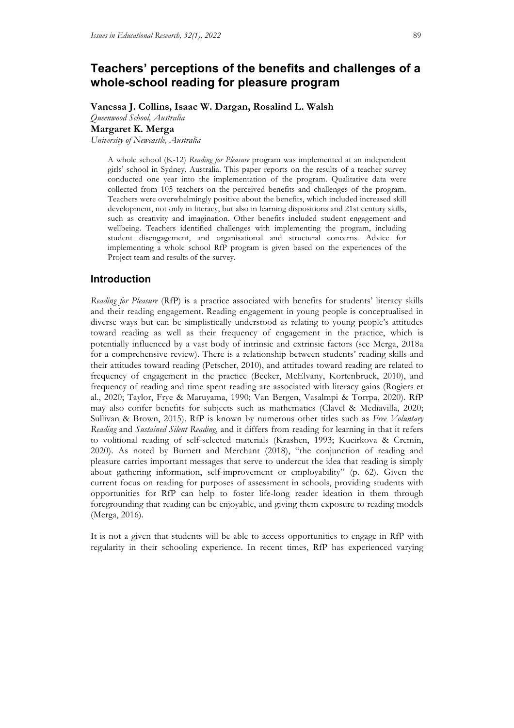## **Teachers' perceptions of the benefits and challenges of a whole-school reading for pleasure program**

**Vanessa J. Collins, Isaac W. Dargan, Rosalind L. Walsh** *Queenwood School, Australia*

**Margaret K. Merga**

*University of Newcastle, Australia*

A whole school (K-12) *Reading for Pleasure* program was implemented at an independent girls' school in Sydney, Australia. This paper reports on the results of a teacher survey conducted one year into the implementation of the program. Qualitative data were collected from 105 teachers on the perceived benefits and challenges of the program. Teachers were overwhelmingly positive about the benefits, which included increased skill development, not only in literacy, but also in learning dispositions and 21st century skills, such as creativity and imagination. Other benefits included student engagement and wellbeing. Teachers identified challenges with implementing the program, including student disengagement, and organisational and structural concerns. Advice for implementing a whole school RfP program is given based on the experiences of the Project team and results of the survey.

## **Introduction**

*Reading for Pleasure* (RfP) is a practice associated with benefits for students' literacy skills and their reading engagement. Reading engagement in young people is conceptualised in diverse ways but can be simplistically understood as relating to young people's attitudes toward reading as well as their frequency of engagement in the practice, which is potentially influenced by a vast body of intrinsic and extrinsic factors (see Merga, 2018a for a comprehensive review). There is a relationship between students' reading skills and their attitudes toward reading (Petscher, 2010), and attitudes toward reading are related to frequency of engagement in the practice (Becker, McElvany, Kortenbruck, 2010), and frequency of reading and time spent reading are associated with literacy gains (Rogiers et al., 2020; Taylor, Frye & Maruyama, 1990; Van Bergen, Vasalmpi & Torrpa, 2020). RfP may also confer benefits for subjects such as mathematics (Clavel & Mediavilla, 2020; Sullivan & Brown, 2015). RfP is known by numerous other titles such as *Free Voluntary Reading* and *Sustained Silent Reading*, and it differs from reading for learning in that it refers to volitional reading of self-selected materials (Krashen, 1993; Kucirkova & Cremin, 2020). As noted by Burnett and Merchant (2018), "the conjunction of reading and pleasure carries important messages that serve to undercut the idea that reading is simply about gathering information, self-improvement or employability" (p. 62). Given the current focus on reading for purposes of assessment in schools, providing students with opportunities for RfP can help to foster life-long reader ideation in them through foregrounding that reading can be enjoyable, and giving them exposure to reading models (Merga, 2016).

It is not a given that students will be able to access opportunities to engage in RfP with regularity in their schooling experience. In recent times, RfP has experienced varying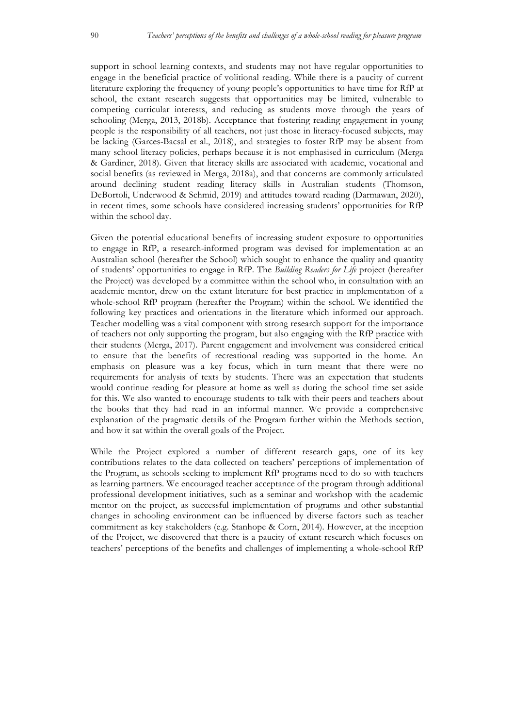support in school learning contexts, and students may not have regular opportunities to engage in the beneficial practice of volitional reading. While there is a paucity of current literature exploring the frequency of young people's opportunities to have time for RfP at school, the extant research suggests that opportunities may be limited, vulnerable to competing curricular interests, and reducing as students move through the years of schooling (Merga, 2013, 2018b). Acceptance that fostering reading engagement in young people is the responsibility of all teachers, not just those in literacy-focused subjects, may be lacking (Garces-Bacsal et al., 2018), and strategies to foster RfP may be absent from many school literacy policies, perhaps because it is not emphasised in curriculum (Merga & Gardiner, 2018). Given that literacy skills are associated with academic, vocational and social benefits (as reviewed in Merga, 2018a), and that concerns are commonly articulated around declining student reading literacy skills in Australian students (Thomson, DeBortoli, Underwood & Schmid, 2019) and attitudes toward reading (Darmawan, 2020), in recent times, some schools have considered increasing students' opportunities for RfP within the school day.

Given the potential educational benefits of increasing student exposure to opportunities to engage in RfP, a research-informed program was devised for implementation at an Australian school (hereafter the School) which sought to enhance the quality and quantity of students' opportunities to engage in RfP. The *Building Readers for Life* project (hereafter the Project) was developed by a committee within the school who, in consultation with an academic mentor, drew on the extant literature for best practice in implementation of a whole-school RfP program (hereafter the Program) within the school. We identified the following key practices and orientations in the literature which informed our approach. Teacher modelling was a vital component with strong research support for the importance of teachers not only supporting the program, but also engaging with the RfP practice with their students (Merga, 2017). Parent engagement and involvement was considered critical to ensure that the benefits of recreational reading was supported in the home. An emphasis on pleasure was a key focus, which in turn meant that there were no requirements for analysis of texts by students. There was an expectation that students would continue reading for pleasure at home as well as during the school time set aside for this. We also wanted to encourage students to talk with their peers and teachers about the books that they had read in an informal manner. We provide a comprehensive explanation of the pragmatic details of the Program further within the Methods section, and how it sat within the overall goals of the Project.

While the Project explored a number of different research gaps, one of its key contributions relates to the data collected on teachers' perceptions of implementation of the Program, as schools seeking to implement RfP programs need to do so with teachers as learning partners. We encouraged teacher acceptance of the program through additional professional development initiatives, such as a seminar and workshop with the academic mentor on the project, as successful implementation of programs and other substantial changes in schooling environment can be influenced by diverse factors such as teacher commitment as key stakeholders (e.g. Stanhope & Corn, 2014). However, at the inception of the Project, we discovered that there is a paucity of extant research which focuses on teachers' perceptions of the benefits and challenges of implementing a whole-school RfP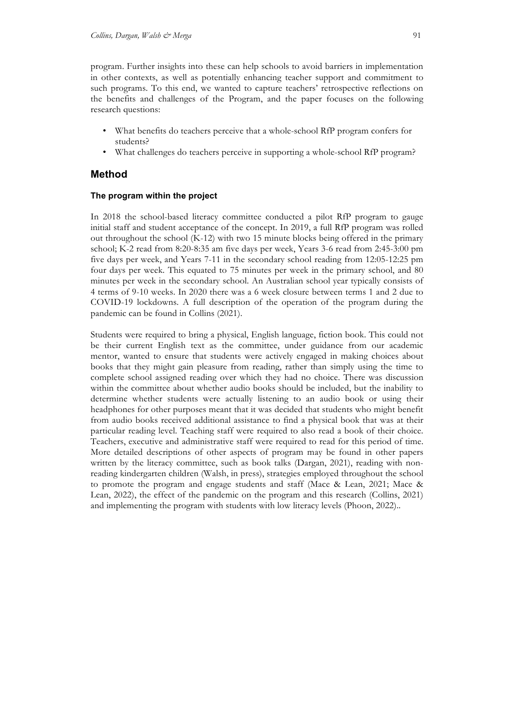program. Further insights into these can help schools to avoid barriers in implementation in other contexts, as well as potentially enhancing teacher support and commitment to such programs. To this end, we wanted to capture teachers' retrospective reflections on the benefits and challenges of the Program, and the paper focuses on the following research questions:

- What benefits do teachers perceive that a whole-school RfP program confers for students?
- What challenges do teachers perceive in supporting a whole-school RfP program?

## **Method**

#### **The program within the project**

In 2018 the school-based literacy committee conducted a pilot RfP program to gauge initial staff and student acceptance of the concept. In 2019, a full RfP program was rolled out throughout the school (K-12) with two 15 minute blocks being offered in the primary school; K-2 read from 8:20-8:35 am five days per week, Years 3-6 read from 2:45-3:00 pm five days per week, and Years 7-11 in the secondary school reading from 12:05-12:25 pm four days per week. This equated to 75 minutes per week in the primary school, and 80 minutes per week in the secondary school. An Australian school year typically consists of 4 terms of 9-10 weeks. In 2020 there was a 6 week closure between terms 1 and 2 due to COVID-19 lockdowns. A full description of the operation of the program during the pandemic can be found in Collins (2021).

Students were required to bring a physical, English language, fiction book. This could not be their current English text as the committee, under guidance from our academic mentor, wanted to ensure that students were actively engaged in making choices about books that they might gain pleasure from reading, rather than simply using the time to complete school assigned reading over which they had no choice. There was discussion within the committee about whether audio books should be included, but the inability to determine whether students were actually listening to an audio book or using their headphones for other purposes meant that it was decided that students who might benefit from audio books received additional assistance to find a physical book that was at their particular reading level. Teaching staff were required to also read a book of their choice. Teachers, executive and administrative staff were required to read for this period of time. More detailed descriptions of other aspects of program may be found in other papers written by the literacy committee, such as book talks (Dargan, 2021), reading with nonreading kindergarten children (Walsh, in press), strategies employed throughout the school to promote the program and engage students and staff (Mace & Lean, 2021; Mace & Lean, 2022), the effect of the pandemic on the program and this research (Collins, 2021) and implementing the program with students with low literacy levels (Phoon, 2022)..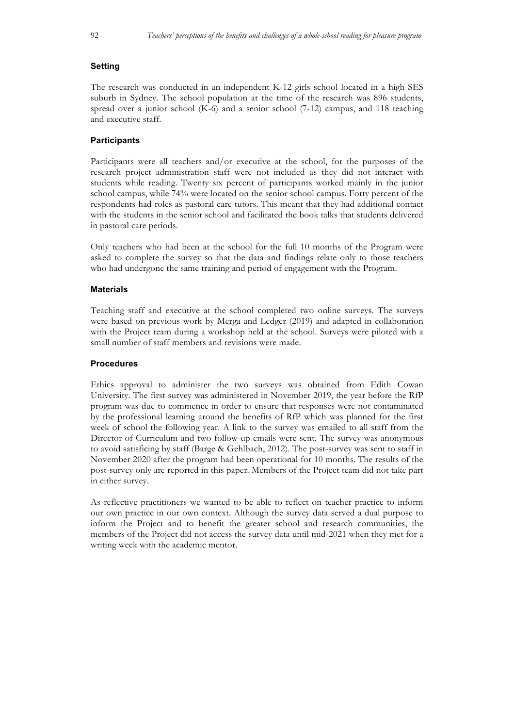#### **Setting**

The research was conducted in an independent K-12 girls school located in a high SES suburb in Sydney. The school population at the time of the research was 896 students, spread over a junior school (K-6) and a senior school (7-12) campus, and 118 teaching and executive staff.

#### **Participants**

Participants were all teachers and/or executive at the school, for the purposes of the research project administration staff were not included as they did not interact with students while reading. Twenty six percent of participants worked mainly in the junior school campus, while 74% were located on the senior school campus. Forty percent of the respondents had roles as pastoral care tutors. This meant that they had additional contact with the students in the senior school and facilitated the book talks that students delivered in pastoral care periods.

Only teachers who had been at the school for the full 10 months of the Program were asked to complete the survey so that the data and findings relate only to those teachers who had undergone the same training and period of engagement with the Program.

#### **Materials**

Teaching staff and executive at the school completed two online surveys. The surveys were based on previous work by Merga and Ledger (2019) and adapted in collaboration with the Project team during a workshop held at the school. Surveys were piloted with a small number of staff members and revisions were made.

#### **Procedures**

Ethics approval to administer the two surveys was obtained from Edith Cowan University. The first survey was administered in November 2019, the year before the RfP program was due to commence in order to ensure that responses were not contaminated by the professional learning around the benefits of RfP which was planned for the first week of school the following year. A link to the survey was emailed to all staff from the Director of Curriculum and two follow-up emails were sent. The survey was anonymous to avoid satisficing by staff (Barge & Gehlbach, 2012). The post-survey was sent to staff in November 2020 after the program had been operational for 10 months. The results of the post-survey only are reported in this paper. Members of the Project team did not take part in either survey.

As reflective practitioners we wanted to be able to reflect on teacher practice to inform our own practice in our own context. Although the survey data served a dual purpose to inform the Project and to benefit the greater school and research communities, the members of the Project did not access the survey data until mid-2021 when they met for a writing week with the academic mentor.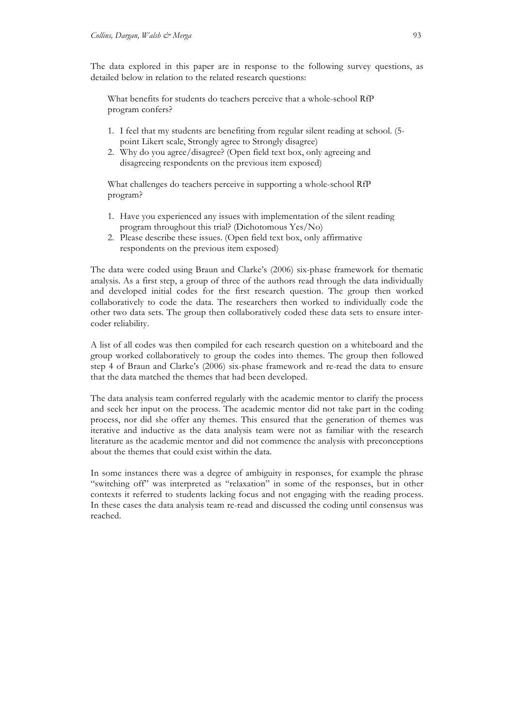The data explored in this paper are in response to the following survey questions, as detailed below in relation to the related research questions:

What benefits for students do teachers perceive that a whole-school RfP program confers?

- 1. I feel that my students are benefiting from regular silent reading at school. (5 point Likert scale, Strongly agree to Strongly disagree)
- 2. Why do you agree/disagree? (Open field text box, only agreeing and disagreeing respondents on the previous item exposed)

What challenges do teachers perceive in supporting a whole-school RfP program?

- 1. Have you experienced any issues with implementation of the silent reading program throughout this trial? (Dichotomous Yes/No)
- 2. Please describe these issues. (Open field text box, only affirmative respondents on the previous item exposed)

The data were coded using Braun and Clarke's (2006) six-phase framework for thematic analysis. As a first step, a group of three of the authors read through the data individually and developed initial codes for the first research question. The group then worked collaboratively to code the data. The researchers then worked to individually code the other two data sets. The group then collaboratively coded these data sets to ensure intercoder reliability.

A list of all codes was then compiled for each research question on a whiteboard and the group worked collaboratively to group the codes into themes. The group then followed step 4 of Braun and Clarke's (2006) six-phase framework and re-read the data to ensure that the data matched the themes that had been developed.

The data analysis team conferred regularly with the academic mentor to clarify the process and seek her input on the process. The academic mentor did not take part in the coding process, nor did she offer any themes. This ensured that the generation of themes was iterative and inductive as the data analysis team were not as familiar with the research literature as the academic mentor and did not commence the analysis with preconceptions about the themes that could exist within the data.

In some instances there was a degree of ambiguity in responses, for example the phrase "switching off" was interpreted as "relaxation" in some of the responses, but in other contexts it referred to students lacking focus and not engaging with the reading process. In these cases the data analysis team re-read and discussed the coding until consensus was reached.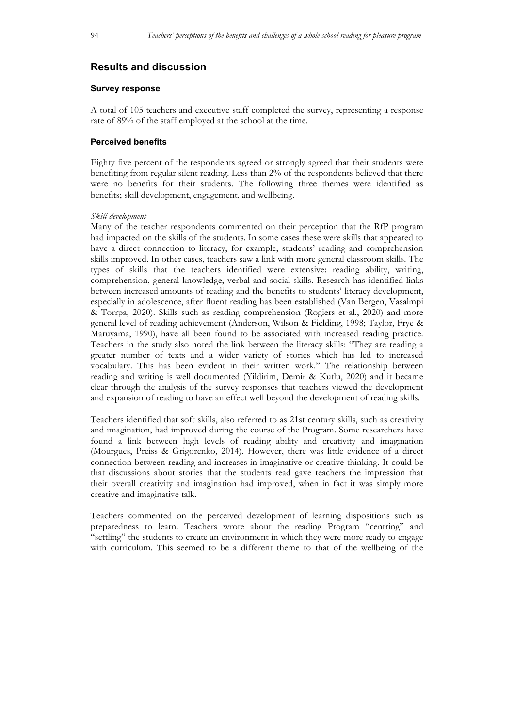## **Results and discussion**

#### **Survey response**

A total of 105 teachers and executive staff completed the survey, representing a response rate of 89% of the staff employed at the school at the time.

#### **Perceived benefits**

Eighty five percent of the respondents agreed or strongly agreed that their students were benefiting from regular silent reading. Less than 2% of the respondents believed that there were no benefits for their students. The following three themes were identified as benefits; skill development, engagement, and wellbeing.

#### *Skill development*

Many of the teacher respondents commented on their perception that the RfP program had impacted on the skills of the students. In some cases these were skills that appeared to have a direct connection to literacy, for example, students' reading and comprehension skills improved. In other cases, teachers saw a link with more general classroom skills. The types of skills that the teachers identified were extensive: reading ability, writing, comprehension, general knowledge, verbal and social skills. Research has identified links between increased amounts of reading and the benefits to students' literacy development, especially in adolescence, after fluent reading has been established (Van Bergen, Vasalmpi & Torrpa, 2020). Skills such as reading comprehension (Rogiers et al., 2020) and more general level of reading achievement (Anderson, Wilson & Fielding, 1998; Taylor, Frye & Maruyama, 1990), have all been found to be associated with increased reading practice. Teachers in the study also noted the link between the literacy skills: "They are reading a greater number of texts and a wider variety of stories which has led to increased vocabulary. This has been evident in their written work." The relationship between reading and writing is well documented (Yildirim, Demir & Kutlu, 2020) and it became clear through the analysis of the survey responses that teachers viewed the development and expansion of reading to have an effect well beyond the development of reading skills.

Teachers identified that soft skills, also referred to as 21st century skills, such as creativity and imagination, had improved during the course of the Program. Some researchers have found a link between high levels of reading ability and creativity and imagination (Mourgues, Preiss & Grigorenko, 2014). However, there was little evidence of a direct connection between reading and increases in imaginative or creative thinking. It could be that discussions about stories that the students read gave teachers the impression that their overall creativity and imagination had improved, when in fact it was simply more creative and imaginative talk.

Teachers commented on the perceived development of learning dispositions such as preparedness to learn. Teachers wrote about the reading Program "centring" and "settling" the students to create an environment in which they were more ready to engage with curriculum. This seemed to be a different theme to that of the wellbeing of the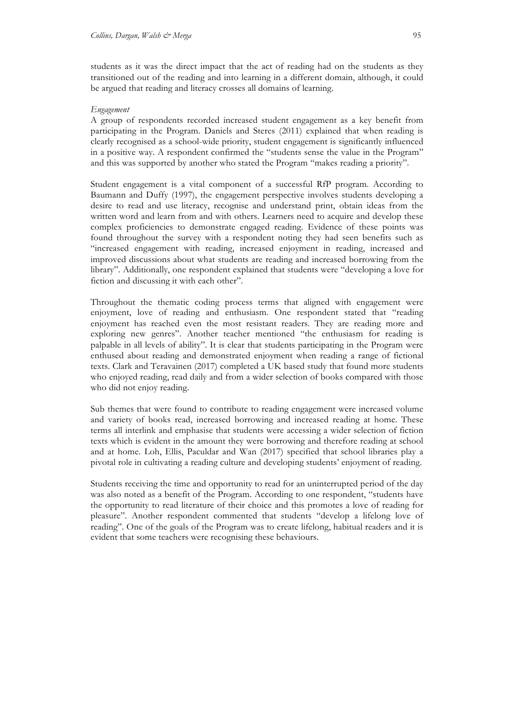students as it was the direct impact that the act of reading had on the students as they transitioned out of the reading and into learning in a different domain, although, it could be argued that reading and literacy crosses all domains of learning.

#### *Engagement*

A group of respondents recorded increased student engagement as a key benefit from participating in the Program. Daniels and Steres (2011) explained that when reading is clearly recognised as a school-wide priority, student engagement is significantly influenced in a positive way. A respondent confirmed the "students sense the value in the Program" and this was supported by another who stated the Program "makes reading a priority".

Student engagement is a vital component of a successful RfP program. According to Baumann and Duffy (1997), the engagement perspective involves students developing a desire to read and use literacy, recognise and understand print, obtain ideas from the written word and learn from and with others. Learners need to acquire and develop these complex proficiencies to demonstrate engaged reading. Evidence of these points was found throughout the survey with a respondent noting they had seen benefits such as "increased engagement with reading, increased enjoyment in reading, increased and improved discussions about what students are reading and increased borrowing from the library". Additionally, one respondent explained that students were "developing a love for fiction and discussing it with each other".

Throughout the thematic coding process terms that aligned with engagement were enjoyment, love of reading and enthusiasm. One respondent stated that "reading enjoyment has reached even the most resistant readers. They are reading more and exploring new genres". Another teacher mentioned "the enthusiasm for reading is palpable in all levels of ability". It is clear that students participating in the Program were enthused about reading and demonstrated enjoyment when reading a range of fictional texts. Clark and Teravainen (2017) completed a UK based study that found more students who enjoyed reading, read daily and from a wider selection of books compared with those who did not enjoy reading.

Sub themes that were found to contribute to reading engagement were increased volume and variety of books read, increased borrowing and increased reading at home. These terms all interlink and emphasise that students were accessing a wider selection of fiction texts which is evident in the amount they were borrowing and therefore reading at school and at home. Loh, Ellis, Paculdar and Wan (2017) specified that school libraries play a pivotal role in cultivating a reading culture and developing students' enjoyment of reading.

Students receiving the time and opportunity to read for an uninterrupted period of the day was also noted as a benefit of the Program. According to one respondent, "students have the opportunity to read literature of their choice and this promotes a love of reading for pleasure". Another respondent commented that students "develop a lifelong love of reading". One of the goals of the Program was to create lifelong, habitual readers and it is evident that some teachers were recognising these behaviours.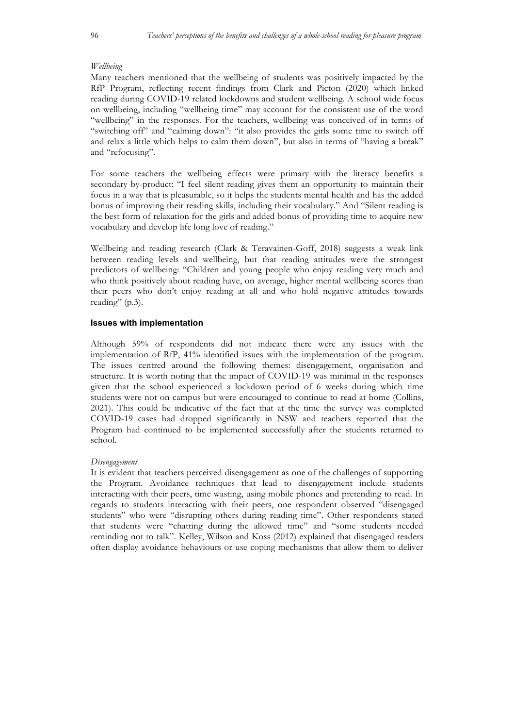#### *Wellbeing*

Many teachers mentioned that the wellbeing of students was positively impacted by the RfP Program, reflecting recent findings from Clark and Picton (2020) which linked reading during COVID-19 related lockdowns and student wellbeing. A school wide focus on wellbeing, including "wellbeing time" may account for the consistent use of the word "wellbeing" in the responses. For the teachers, wellbeing was conceived of in terms of "switching off" and "calming down": "it also provides the girls some time to switch off and relax a little which helps to calm them down", but also in terms of "having a break" and "refocusing".

For some teachers the wellbeing effects were primary with the literacy benefits a secondary by-product: "I feel silent reading gives them an opportunity to maintain their focus in a way that is pleasurable, so it helps the students mental health and has the added bonus of improving their reading skills, including their vocabulary." And "Silent reading is the best form of relaxation for the girls and added bonus of providing time to acquire new vocabulary and develop life long love of reading."

Wellbeing and reading research (Clark & Teravainen-Goff, 2018) suggests a weak link between reading levels and wellbeing, but that reading attitudes were the strongest predictors of wellbeing: "Children and young people who enjoy reading very much and who think positively about reading have, on average, higher mental wellbeing scores than their peers who don't enjoy reading at all and who hold negative attitudes towards reading" (p.3).

#### **Issues with implementation**

Although 59% of respondents did not indicate there were any issues with the implementation of RfP, 41% identified issues with the implementation of the program. The issues centred around the following themes: disengagement, organisation and structure. It is worth noting that the impact of COVID-19 was minimal in the responses given that the school experienced a lockdown period of 6 weeks during which time students were not on campus but were encouraged to continue to read at home (Collins, 2021). This could be indicative of the fact that at the time the survey was completed COVID-19 cases had dropped significantly in NSW and teachers reported that the Program had continued to be implemented successfully after the students returned to school.

#### *Disengagement*

It is evident that teachers perceived disengagement as one of the challenges of supporting the Program. Avoidance techniques that lead to disengagement include students interacting with their peers, time wasting, using mobile phones and pretending to read. In regards to students interacting with their peers, one respondent observed "disengaged students" who were "disrupting others during reading time". Other respondents stated that students were "chatting during the allowed time" and "some students needed reminding not to talk". Kelley, Wilson and Koss (2012) explained that disengaged readers often display avoidance behaviours or use coping mechanisms that allow them to deliver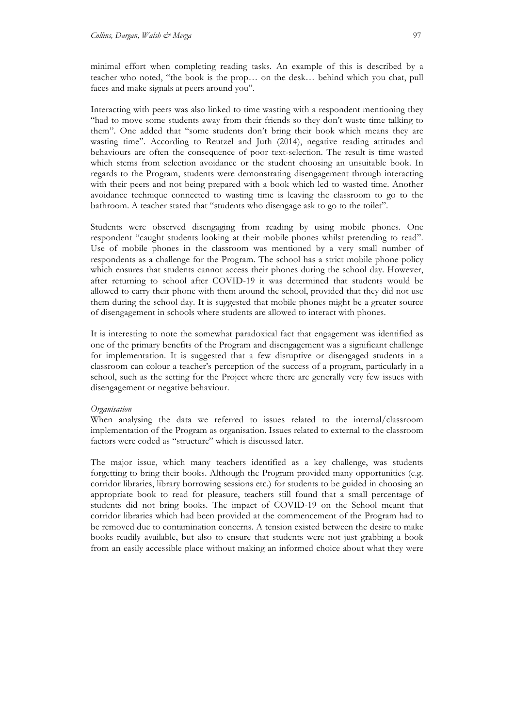minimal effort when completing reading tasks. An example of this is described by a teacher who noted, "the book is the prop… on the desk… behind which you chat, pull faces and make signals at peers around you".

Interacting with peers was also linked to time wasting with a respondent mentioning they "had to move some students away from their friends so they don't waste time talking to them". One added that "some students don't bring their book which means they are wasting time". According to Reutzel and Juth (2014), negative reading attitudes and behaviours are often the consequence of poor text-selection. The result is time wasted which stems from selection avoidance or the student choosing an unsuitable book. In regards to the Program, students were demonstrating disengagement through interacting with their peers and not being prepared with a book which led to wasted time. Another avoidance technique connected to wasting time is leaving the classroom to go to the bathroom. A teacher stated that "students who disengage ask to go to the toilet".

Students were observed disengaging from reading by using mobile phones. One respondent "caught students looking at their mobile phones whilst pretending to read". Use of mobile phones in the classroom was mentioned by a very small number of respondents as a challenge for the Program. The school has a strict mobile phone policy which ensures that students cannot access their phones during the school day. However, after returning to school after COVID-19 it was determined that students would be allowed to carry their phone with them around the school, provided that they did not use them during the school day. It is suggested that mobile phones might be a greater source of disengagement in schools where students are allowed to interact with phones.

It is interesting to note the somewhat paradoxical fact that engagement was identified as one of the primary benefits of the Program and disengagement was a significant challenge for implementation. It is suggested that a few disruptive or disengaged students in a classroom can colour a teacher's perception of the success of a program, particularly in a school, such as the setting for the Project where there are generally very few issues with disengagement or negative behaviour.

#### *Organisation*

When analysing the data we referred to issues related to the internal/classroom implementation of the Program as organisation. Issues related to external to the classroom factors were coded as "structure" which is discussed later.

The major issue, which many teachers identified as a key challenge, was students forgetting to bring their books. Although the Program provided many opportunities (e.g. corridor libraries, library borrowing sessions etc.) for students to be guided in choosing an appropriate book to read for pleasure, teachers still found that a small percentage of students did not bring books. The impact of COVID-19 on the School meant that corridor libraries which had been provided at the commencement of the Program had to be removed due to contamination concerns. A tension existed between the desire to make books readily available, but also to ensure that students were not just grabbing a book from an easily accessible place without making an informed choice about what they were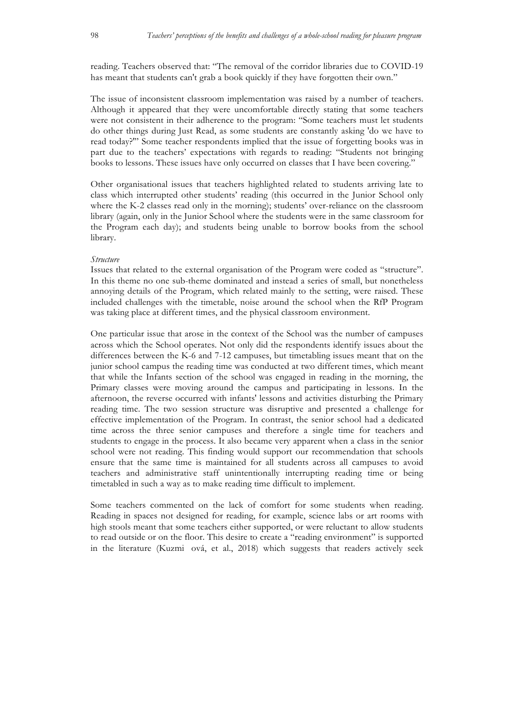reading. Teachers observed that: "The removal of the corridor libraries due to COVID-19 has meant that students can't grab a book quickly if they have forgotten their own."

The issue of inconsistent classroom implementation was raised by a number of teachers. Although it appeared that they were uncomfortable directly stating that some teachers were not consistent in their adherence to the program: "Some teachers must let students do other things during Just Read, as some students are constantly asking 'do we have to read today?'" Some teacher respondents implied that the issue of forgetting books was in part due to the teachers' expectations with regards to reading: "Students not bringing books to lessons. These issues have only occurred on classes that I have been covering."

Other organisational issues that teachers highlighted related to students arriving late to class which interrupted other students' reading (this occurred in the Junior School only where the K-2 classes read only in the morning); students' over-reliance on the classroom library (again, only in the Junior School where the students were in the same classroom for the Program each day); and students being unable to borrow books from the school library.

#### *Structure*

Issues that related to the external organisation of the Program were coded as "structure". In this theme no one sub-theme dominated and instead a series of small, but nonetheless annoying details of the Program, which related mainly to the setting, were raised. These included challenges with the timetable, noise around the school when the RfP Program was taking place at different times, and the physical classroom environment.

One particular issue that arose in the context of the School was the number of campuses across which the School operates. Not only did the respondents identify issues about the differences between the K-6 and 7-12 campuses, but timetabling issues meant that on the junior school campus the reading time was conducted at two different times, which meant that while the Infants section of the school was engaged in reading in the morning, the Primary classes were moving around the campus and participating in lessons. In the afternoon, the reverse occurred with infants' lessons and activities disturbing the Primary reading time. The two session structure was disruptive and presented a challenge for effective implementation of the Program. In contrast, the senior school had a dedicated time across the three senior campuses and therefore a single time for teachers and students to engage in the process. It also became very apparent when a class in the senior school were not reading. This finding would support our recommendation that schools ensure that the same time is maintained for all students across all campuses to avoid teachers and administrative staff unintentionally interrupting reading time or being timetabled in such a way as to make reading time difficult to implement.

Some teachers commented on the lack of comfort for some students when reading. Reading in spaces not designed for reading, for example, science labs or art rooms with high stools meant that some teachers either supported, or were reluctant to allow students to read outside or on the floor. This desire to create a "reading environment" is supported in the literature (Kuzmiová, et al., 2018) which suggests that readers actively seek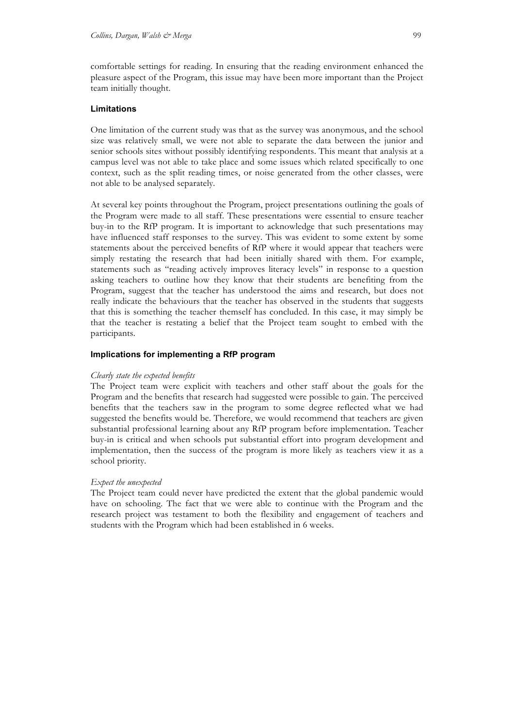comfortable settings for reading. In ensuring that the reading environment enhanced the pleasure aspect of the Program, this issue may have been more important than the Project team initially thought.

#### **Limitations**

One limitation of the current study was that as the survey was anonymous, and the school size was relatively small, we were not able to separate the data between the junior and senior schools sites without possibly identifying respondents. This meant that analysis at a campus level was not able to take place and some issues which related specifically to one context, such as the split reading times, or noise generated from the other classes, were not able to be analysed separately.

At several key points throughout the Program, project presentations outlining the goals of the Program were made to all staff. These presentations were essential to ensure teacher buy-in to the RfP program. It is important to acknowledge that such presentations may have influenced staff responses to the survey. This was evident to some extent by some statements about the perceived benefits of RfP where it would appear that teachers were simply restating the research that had been initially shared with them. For example, statements such as "reading actively improves literacy levels" in response to a question asking teachers to outline how they know that their students are benefiting from the Program, suggest that the teacher has understood the aims and research, but does not really indicate the behaviours that the teacher has observed in the students that suggests that this is something the teacher themself has concluded. In this case, it may simply be that the teacher is restating a belief that the Project team sought to embed with the participants.

## **Implications for implementing a RfP program**

#### *Clearly state the expected benefits*

The Project team were explicit with teachers and other staff about the goals for the Program and the benefits that research had suggested were possible to gain. The perceived benefits that the teachers saw in the program to some degree reflected what we had suggested the benefits would be. Therefore, we would recommend that teachers are given substantial professional learning about any RfP program before implementation. Teacher buy-in is critical and when schools put substantial effort into program development and implementation, then the success of the program is more likely as teachers view it as a school priority.

#### *Expect the unexpected*

The Project team could never have predicted the extent that the global pandemic would have on schooling. The fact that we were able to continue with the Program and the research project was testament to both the flexibility and engagement of teachers and students with the Program which had been established in 6 weeks.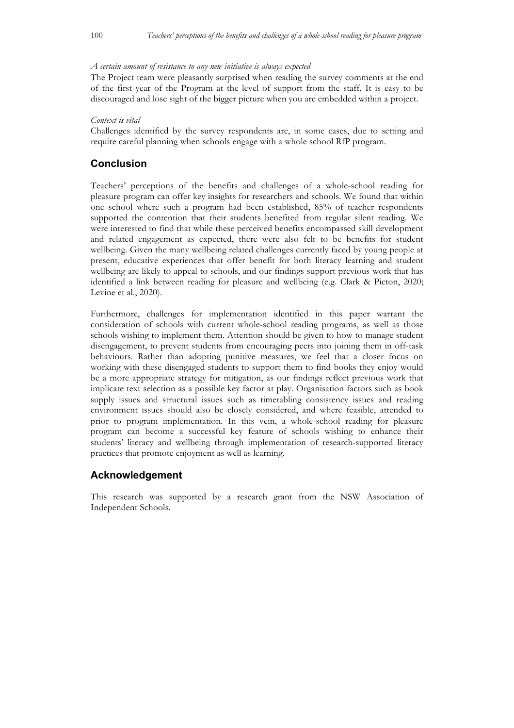#### *A certain amount of resistance to any new initiative is always expected*

The Project team were pleasantly surprised when reading the survey comments at the end of the first year of the Program at the level of support from the staff. It is easy to be discouraged and lose sight of the bigger picture when you are embedded within a project.

#### *Context is vital*

Challenges identified by the survey respondents are, in some cases, due to setting and require careful planning when schools engage with a whole school RfP program.

## **Conclusion**

Teachers' perceptions of the benefits and challenges of a whole-school reading for pleasure program can offer key insights for researchers and schools. We found that within one school where such a program had been established, 85% of teacher respondents supported the contention that their students benefited from regular silent reading. We were interested to find that while these perceived benefits encompassed skill development and related engagement as expected, there were also felt to be benefits for student wellbeing. Given the many wellbeing related challenges currently faced by young people at present, educative experiences that offer benefit for both literacy learning and student wellbeing are likely to appeal to schools, and our findings support previous work that has identified a link between reading for pleasure and wellbeing (e.g. Clark & Picton, 2020; Levine et al., 2020).

Furthermore, challenges for implementation identified in this paper warrant the consideration of schools with current whole-school reading programs, as well as those schools wishing to implement them. Attention should be given to how to manage student disengagement, to prevent students from encouraging peers into joining them in off-task behaviours. Rather than adopting punitive measures, we feel that a closer focus on working with these disengaged students to support them to find books they enjoy would be a more appropriate strategy for mitigation, as our findings reflect previous work that implicate text selection as a possible key factor at play. Organisation factors such as book supply issues and structural issues such as timetabling consistency issues and reading environment issues should also be closely considered, and where feasible, attended to prior to program implementation. In this vein, a whole-school reading for pleasure program can become a successful key feature of schools wishing to enhance their students' literacy and wellbeing through implementation of research-supported literacy practices that promote enjoyment as well as learning.

#### **Acknowledgement**

This research was supported by a research grant from the NSW Association of Independent Schools.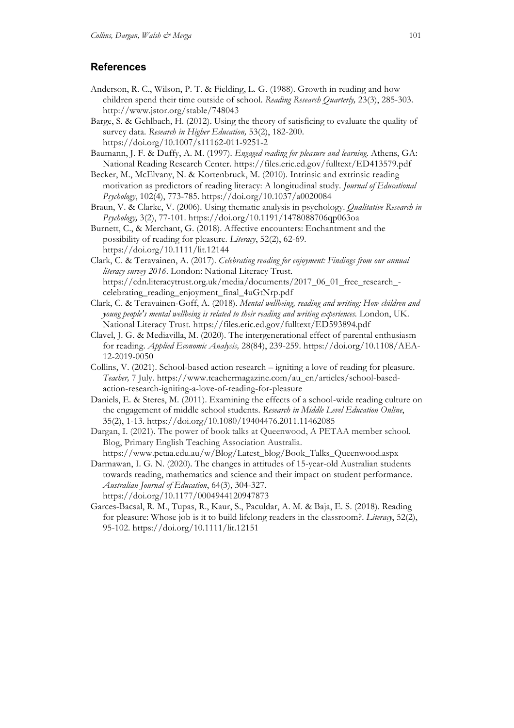## **References**

- Anderson, R. C., Wilson, P. T. & Fielding, L. G. (1988). Growth in reading and how children spend their time outside of school. *Reading Research Quarterly,* 23(3), 285-303. http://www.jstor.org/stable/748043
- Barge, S. & Gehlbach, H. (2012). Using the theory of satisficing to evaluate the quality of survey data. *Research in Higher Education,* 53(2), 182-200. https://doi.org/10.1007/s11162-011-9251-2
- Baumann, J. F. & Duffy, A. M. (1997). *Engaged reading for pleasure and learning*. Athens, GA: National Reading Research Center. https://files.eric.ed.gov/fulltext/ED413579.pdf
- Becker, M., McElvany, N. & Kortenbruck, M. (2010). Intrinsic and extrinsic reading motivation as predictors of reading literacy: A longitudinal study. *Journal of Educational Psychology*, 102(4), 773-785. https://doi.org/10.1037/a0020084
- Braun, V. & Clarke, V. (2006). Using thematic analysis in psychology. *Qualitative Research in Psychology,* 3(2), 77-101. https://doi.org/10.1191/1478088706qp063oa
- Burnett, C., & Merchant, G. (2018). Affective encounters: Enchantment and the possibility of reading for pleasure. *Literacy*, 52(2), 62-69. https://doi.org/10.1111/lit.12144
- Clark, C. & Teravainen, A. (2017). *Celebrating reading for enjoyment: Findings from our annual literacy survey 2016*. London: National Literacy Trust. https://cdn.literacytrust.org.uk/media/documents/2017\_06\_01\_free\_research\_ celebrating\_reading\_enjoyment\_final\_4uGtNrp.pdf
- Clark, C. & Teravainen-Goff, A. (2018). *Mental wellbeing, reading and writing: How children and young people's mental wellbeing is related to their reading and writing experiences.* London, UK. National Literacy Trust. https://files.eric.ed.gov/fulltext/ED593894.pdf
- Clavel, J. G. & Mediavilla, M. (2020). The intergenerational effect of parental enthusiasm for reading. *Applied Economic Analysis,* 28(84), 239-259. https://doi.org/10.1108/AEA-12-2019-0050
- Collins, V. (2021). School-based action research igniting a love of reading for pleasure. *Teacher,* 7 July*.* https://www.teachermagazine.com/au\_en/articles/school-basedaction-research-igniting-a-love-of-reading-for-pleasure
- Daniels, E. & Steres, M. (2011). Examining the effects of a school-wide reading culture on the engagement of middle school students. *Research in Middle Level Education Online*, 35(2), 1-13. https://doi.org/10.1080/19404476.2011.11462085
- Dargan, I. (2021). The power of book talks at Queenwood, A PETAA member school. Blog, Primary English Teaching Association Australia. https://www.petaa.edu.au/w/Blog/Latest\_blog/Book\_Talks\_Queenwood.aspx
- Darmawan, I. G. N. (2020). The changes in attitudes of 15-year-old Australian students towards reading, mathematics and science and their impact on student performance. *Australian Journal of Education*, 64(3), 304-327. https://doi.org/10.1177/0004944120947873
- Garces-Bacsal, R. M., Tupas, R., Kaur, S., Paculdar, A. M. & Baja, E. S. (2018). Reading for pleasure: Whose job is it to build lifelong readers in the classroom?. *Literacy*, 52(2), 95-102. https://doi.org/10.1111/lit.12151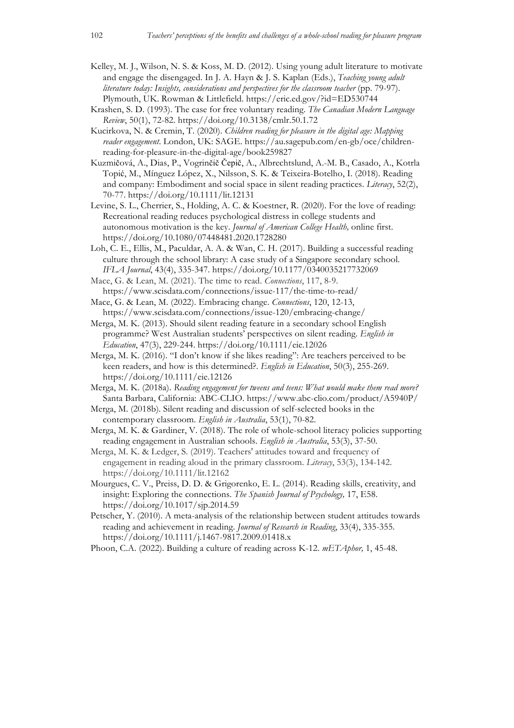- Kelley, M. J., Wilson, N. S. & Koss, M. D. (2012). Using young adult literature to motivate and engage the disengaged. In J. A. Hayn & J. S. Kaplan (Eds.), *Teaching young adult literature today: Insights, considerations and perspectives for the classroom teacher* (pp. 79-97). Plymouth, UK. Rowman & Littlefield. https://eric.ed.gov/?id=ED530744
- Krashen, S. D. (1993). The case for free voluntary reading. *The Canadian Modern Language Review*, 50(1), 72-82. https://doi.org/10.3138/cmlr.50.1.72
- Kucirkova, N. & Cremin, T. (2020). *Children reading for pleasure in the digital age: Mapping reader engagement*. London, UK: SAGE. https://au.sagepub.com/en-gb/oce/childrenreading-for-pleasure-in-the-digital-age/book259827
- Kuzmičová, A., Dias, P., Vogrinčič Čepič, A., Albrechtslund, A.-M. B., Casado, A., Kotrla Topić, M., Mínguez López, X., Nilsson, S. K. & Teixeira-Botelho, I. (2018). Reading and company: Embodiment and social space in silent reading practices. *Literacy*, 52(2), 70-77. https://doi.org/10.1111/lit.12131
- Levine, S. L., Cherrier, S., Holding, A. C. & Koestner, R. (2020). For the love of reading: Recreational reading reduces psychological distress in college students and autonomous motivation is the key. *Journal of American College Health,* online first. https://doi.org/10.1080/07448481.2020.1728280
- Loh, C. E., Ellis, M., Paculdar, A. A. & Wan, C. H. (2017). Building a successful reading culture through the school library: A case study of a Singapore secondary school. *IFLA Journal*, 43(4), 335-347. https://doi.org/10.1177/0340035217732069
- Mace, G. & Lean, M. (2021). The time to read. *Connections*, 117, 8-9. https://www.scisdata.com/connections/issue-117/the-time-to-read/
- Mace, G. & Lean, M. (2022). Embracing change. *Connections*, 120, 12-13, https://www.scisdata.com/connections/issue-120/embracing-change/
- Merga, M. K. (2013). Should silent reading feature in a secondary school English programme? West Australian students' perspectives on silent reading. *English in Education*, 47(3), 229-244. https://doi.org/10.1111/eie.12026
- Merga, M. K. (2016). "I don't know if she likes reading": Are teachers perceived to be keen readers, and how is this determined?. *English in Education*, 50(3), 255-269. https://doi.org/10.1111/eie.12126
- Merga, M. K. (2018a). *Reading engagement for tweens and teens: What would make them read more?* Santa Barbara, California: ABC-CLIO. https://www.abc-clio.com/product/A5940P/
- Merga, M. (2018b). Silent reading and discussion of self-selected books in the contemporary classroom. *English in Australia*, 53(1), 70-82.
- Merga, M. K. & Gardiner, V. (2018). The role of whole-school literacy policies supporting reading engagement in Australian schools. *English in Australia*, 53(3), 37-50.
- Merga, M. K. & Ledger, S. (2019). Teachers' attitudes toward and frequency of engagement in reading aloud in the primary classroom. *Literacy*, 53(3), 134-142. https://doi.org/10.1111/lit.12162
- Mourgues, C. V., Preiss, D. D. & Grigorenko, E. L. (2014). Reading skills, creativity, and insight: Exploring the connections. *The Spanish Journal of Psychology,* 17, E58. https://doi.org/10.1017/sjp.2014.59
- Petscher, Y. (2010). A meta-analysis of the relationship between student attitudes towards reading and achievement in reading. *Journal of Research in Reading*, 33(4), 335-355. https://doi.org/10.1111/j.1467-9817.2009.01418.x
- Phoon, C.A. (2022). Building a culture of reading across K-12. *mETAphor,* 1, 45-48.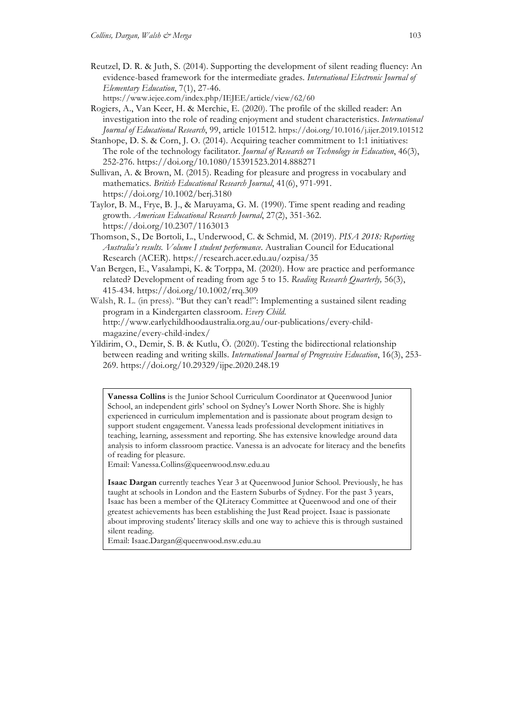Reutzel, D. R. & Juth, S. (2014). Supporting the development of silent reading fluency: An evidence-based framework for the intermediate grades. *International Electronic Journal of Elementary Education*, 7(1), 27-46.

https://www.iejee.com/index.php/IEJEE/article/view/62/60

- Rogiers, A., Van Keer, H. & Merchie, E. (2020). The profile of the skilled reader: An investigation into the role of reading enjoyment and student characteristics. *International Journal of Educational Research*, 99, article 101512. https://doi.org/10.1016/j.ijer.2019.101512
- Stanhope, D. S. & Corn, J. O. (2014). Acquiring teacher commitment to 1:1 initiatives: The role of the technology facilitator. *Journal of Research on Technology in Education*, 46(3), 252-276. https://doi.org/10.1080/15391523.2014.888271
- Sullivan, A. & Brown, M. (2015). Reading for pleasure and progress in vocabulary and mathematics. *British Educational Research Journal*, 41(6), 971-991. https://doi.org/10.1002/berj.3180
- Taylor, B. M., Frye, B. J., & Maruyama, G. M. (1990). Time spent reading and reading growth. *American Educational Research Journal*, 27(2), 351-362. https://doi.org/10.2307/1163013
- Thomson, S., De Bortoli, L., Underwood, C. & Schmid, M. (2019). *PISA 2018: Reporting Australia's results. Volume I student performance*. Australian Council for Educational Research (ACER). https://research.acer.edu.au/ozpisa/35
- Van Bergen, E., Vasalampi, K. & Torppa, M. (2020). How are practice and performance related? Development of reading from age 5 to 15. *Reading Research Quarterly,* 56(3), 415-434. https://doi.org/10.1002/rrq.309
- Walsh, R. L. (in press). "But they can't read!": Implementing a sustained silent reading program in a Kindergarten classroom. *Every Child*. http://www.earlychildhoodaustralia.org.au/our-publications/every-childmagazine/every-child-index/
- Yildirim, O., Demir, S. B. & Kutlu, Ö. (2020). Testing the bidirectional relationship between reading and writing skills. *International Journal of Progressive Education*, 16(3), 253- 269. https://doi.org/10.29329/ijpe.2020.248.19

**Vanessa Collins** is the Junior School Curriculum Coordinator at Queenwood Junior School, an independent girls' school on Sydney's Lower North Shore. She is highly experienced in curriculum implementation and is passionate about program design to support student engagement. Vanessa leads professional development initiatives in teaching, learning, assessment and reporting. She has extensive knowledge around data analysis to inform classroom practice. Vanessa is an advocate for literacy and the benefits of reading for pleasure.

Email: Vanessa.Collins@queenwood.nsw.edu.au

**Isaac Dargan** currently teaches Year 3 at Queenwood Junior School. Previously, he has taught at schools in London and the Eastern Suburbs of Sydney. For the past 3 years, Isaac has been a member of the QLiteracy Committee at Queenwood and one of their greatest achievements has been establishing the Just Read project. Isaac is passionate about improving students' literacy skills and one way to achieve this is through sustained silent reading.

Email: Isaac.Dargan@queenwood.nsw.edu.au